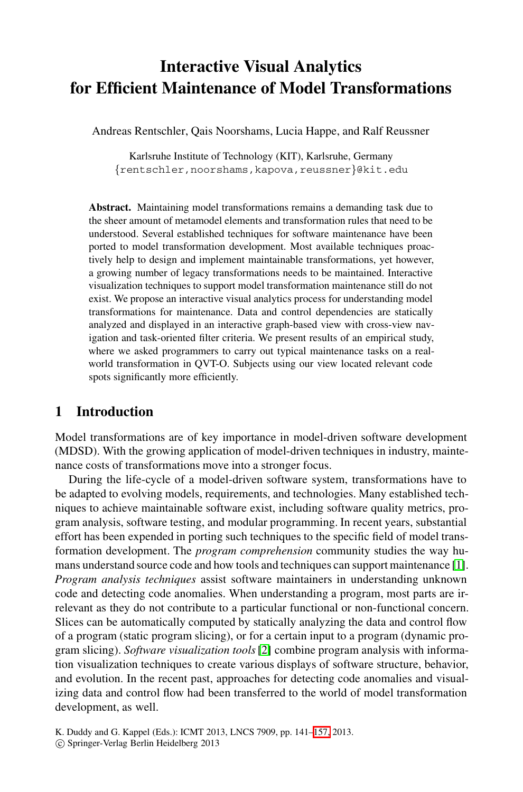# **Interactive Visual Analytics for Efficient Maintenance of Model Transformations**

Andreas Rentschler, Qais Noorshams, Lucia Happe, and Ralf Reussner

Karlsruhe Institute of Technology (KIT), Karlsruhe, Germany {rentschler,noorshams,kapova,reussner}@kit.edu

**Abstract.** Maintaining model transformations remains a demanding task due to the sheer amount of metamodel elements and transformation rules that need to be understood. Several established techniques for software maintenance have been ported to model transformation development. Most available techniques proactively help to design and implement maintainable transformations, yet however, a growing number of legacy transformations needs to be maintained. Interactive visualization techniques to support model transformation maintenance still do not exist. We propose an interactive visual analytics process for understanding model transformations for maintenance. Data and control dependencies are statically analyzed and displayed in an interactive graph-based view with cross-view navigation and task-oriented filter criteria. We present results of an empirical study, where we asked programmers to carry out typical maintenance tasks on a realworld transformation in QVT-O. Subjects using our view located relevant code spots significantly more efficiently.

# **1 Introduction**

Model transformations are of key importance in model-driven software development (MDSD). With the growing application of model-driven techniq[ues](#page-15-0) in industry, maintenance costs of transformations move into a stronger focus.

During the life-cycle of a model-driven software system, transformations have to be adapted to evolving models, requirements, and technologies. Many established techniques to achieve maintainable software exist, including software quality metrics, program analysis, software testing, and modular programming. In recent years, substantial effort has been expend[ed](#page-15-1) in porting such techniques to the specific field of model transformation development. The *program comprehension* community studies the way humans understand source code and how tools and techniques can support maintenance [1]. *Program analysis techniques* assist software maintainers in understanding unknown code and detecting code anomalies. When understanding a program, most parts are irrelevant as they do not contribute to a particular functional or non-functional concern. Slices can be automatically compu[ted](#page-16-0) by statically analyzing the data and control flow of a program (static program slicing), or for a certain input to a program (dynamic program slicing). *Software visualization tools*[2] combine program analysis with information visualization techniques to create various displays of software structure, behavior, and evolution. In the recent past, approaches for detecting code anomalies and visualizing data and control flow had been transferred to the world of model transformation development, as well.

K. Duddy and G. Kappel (Eds.): ICMT 2013, LNCS 7909, pp. 141–157, 2013. -c Springer-Verlag Berlin Heidelberg 2013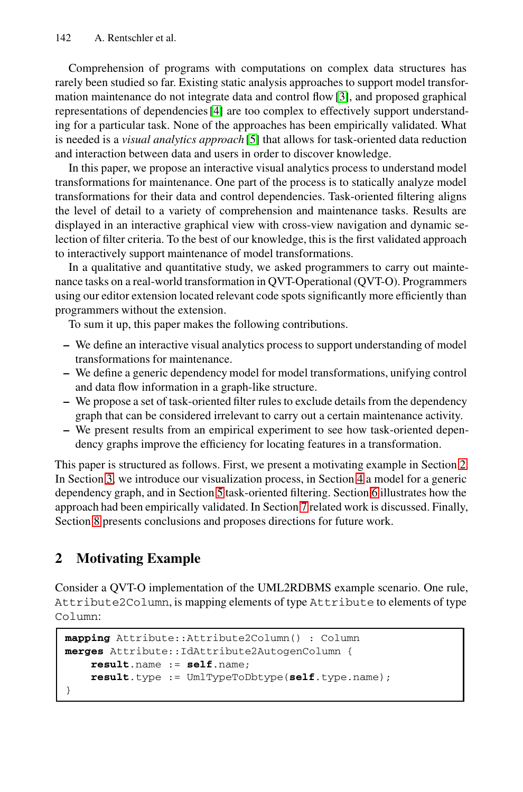Comprehension of programs with computations on complex data structures has rarely been studied so far. Existing static analysis approaches to support model transformation maintenance do not integrate data and control flow [3], and proposed graphical representations of dependencies [4] are too complex to effectively support understanding for a particular task. None of the approaches has been empirically validated. What is needed is a *visual analytics approach* [5] that allows for task-oriented data reduction and interaction between data and users in order to discover knowledge.

In this paper, we propose an interactive visual analytics process to understand model transformations for maintenance. One part of the process is to statically analyze model transformations for their data and control dependencies. Task-oriented filtering aligns the level of detail to a variety of comprehension and maintenance tasks. Results are displayed in an interactive graphical view with cross-view navigation and dynamic selection of filter criteria. To the best of our knowledge, this is the first validated approach to interactively support maintenance of model transformations.

In a qualitative and quantitative study, we asked programmers to carry out maintenance tasks on a real-world transformation in QVT-Operational (QVT-O). Programmers using our editor extension located relevant code spots significantly more efficiently than programmers without the extension.

To sum it up, this paper makes the following contributions.

- <span id="page-1-0"></span>**–** We define an interactive visual analytics process to support u[nde](#page-1-0)rstanding of model transformations for maintenance.
- **–** We define a generic dependency model [fo](#page-4-0)r model transformations, unifying control and data [flow](#page-5-0) information in a graph-like s[tru](#page-8-0)cture.
- **–** We propose a set of task-ori[en](#page-14-0)ted filter rules to exclude details from the dependency graph that can be considered irrelevant to carry out a certain maintenance activity.
- **–** We present results from an empirical experiment to see how task-oriented dependency graphs improve the efficiency for locating features in a transformation.

This paper is structured as follows. First, we present a motivating example in Section 2. In Section 3, we introduce our visualization process, in Section 4 a model for a generic dependency graph, and in Section 5 task-oriented filtering. Section 6 illustrates how the approach had been empirically validated. In Section 7 related work is discussed. Finally, Section 8 presents conclusions and proposes directions for future work.

# **2 Motivating Example**

Consider a QVT-O implementation of the UML2RDBMS example scenario. One rule, Attribute2Column, is mapping elements of type Attribute to elements of type Column:

```
mapping Attribute::Attribute2Column() : Column
merges Attribute::IdAttribute2AutogenColumn {
    result.name := self.name;
    result.type := UmlTypeToDbtype(self.type.name);
}
```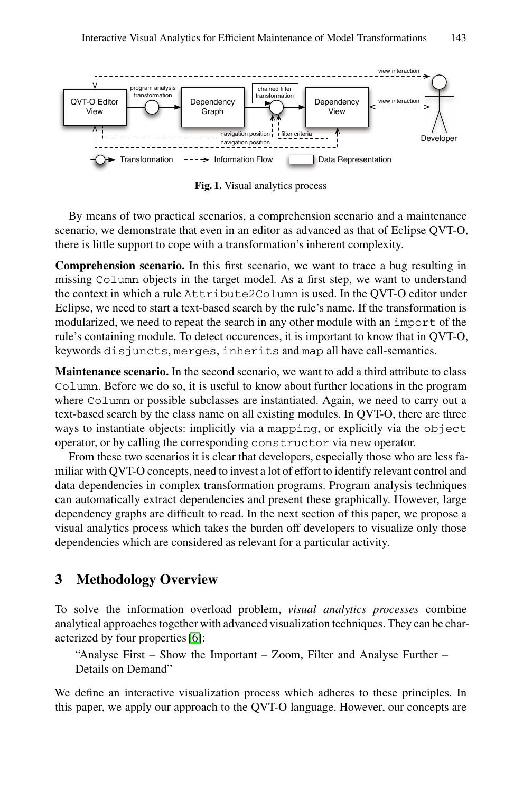

**Fig. 1.** Visual analytics process

By means of two practical scenarios, a comprehension scenario and a maintenance scenario, we demonstrate that even in an editor as advanced as that of Eclipse QVT-O, there is little support to cope with a transformation's inherent complexity.

**Comprehension scenario.** In this first scenario, we want to trace a bug resulting in missing Column objects in the target model. As a first step, we want to understand the context in which a rule Attribute2Column is used. In the QVT-O editor under Eclipse, we need to start a text-based search by the rule's name. If the transformation is modularized, we need to repeat the search in any other module with an import of the rule's containing module. To detect occurences, it is important to know that in QVT-O, keywords disjuncts, merges, inherits and map all have call-semantics.

**Maintenance scenario.** In the second scenario, we want to add a third attribute to class Column. Before we do so, it is useful to know about further locations in the program where Column or possible subclasses are instantiated. Again, we need to carry out a text-based search by the class name on all existing modules. In QVT-O, there are three ways to instantiate objects: implicitly via a mapping, or explicitly via the object operator, or by calling the corresponding constructor via new operator.

From these two scenarios it is clear that developers, especially those who are less familiar with QVT-O concepts, need to invest a lot of effort to identify relevant control and data dependencies in complex transformation programs. Program analysis techniques can automatically extract dependencies and present these graphically. However, large dependency graphs are difficult to read. In the next section of this paper, we propose a visual a[naly](#page-15-3)tics process which takes the burden off developers to visualize only those dependencies which are considered as relevant for a particular activity.

## **3 Methodology Overview**

To solve the information overload problem, *visual analytics processes* combine analytical approaches together with advanced visualization techniques. They can be characterized by four properties [6]:

"Analyse First – Show the Important – Zoom, Filter and Analyse Further – Details on Demand"

We define an interactive visualization process which adheres to these principles. In this paper, we apply our approach to the QVT-O language. However, our concepts are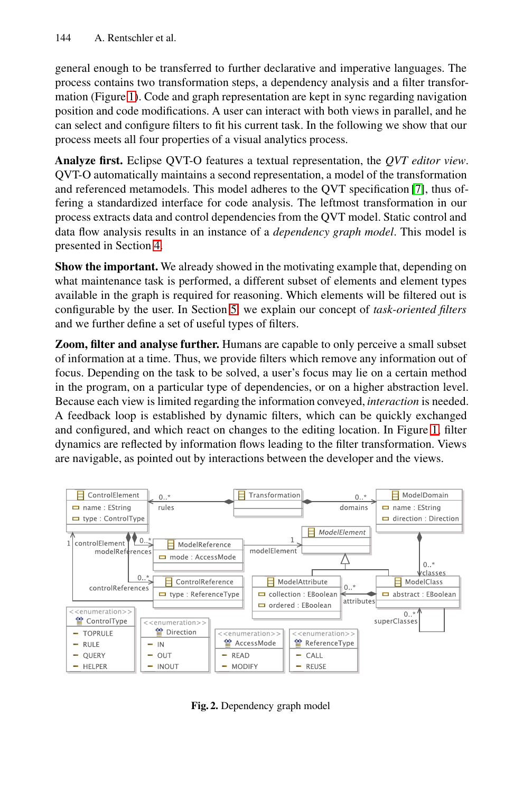general enough to be transferred to further declarative and imperative languages. The process contains two transformation steps, a dependen[cy](#page-15-4) analysis and a filter transformation (Figure 1). Code and graph representation are kept in sync regarding navigation position and code modifications. A user can interact with both views in parallel, and he can select and configure filters to fit his current task. In the following we show that our [pro](#page-4-0)cess meets all four properties of a visual analytics process.

**Analyze first.** Eclipse QVT-O features a textual representation, the *QVT editor view*. QVT-O automatically maintains a second representation, a model of the transformation and referenced metamodels. This model adheres to the QVT specification [7], thus offering a standar[diz](#page-5-0)ed interface for code analysis. The leftmost transformation in our process extracts data and control dependencies from the QVT model. Static control and data flow analysis results in an instance of a *dependency graph model*. This model is presented in Section 4.

**Show the important.** We already showed in the motivating example that, depending on what maintenance task is performed, a different subset of elements and element types available in the graph is required for reasoning. Which elements will be filtered out is configurable by the user. In Section 5, we explain our concept of *task-oriented filters* and we further define a set of useful types of filters.

**Zoom, filter and analyse further.** Humans are capable to only perceive a small subset of information at a time. Thus, we provide filters which remove any information out of focus. Depending on the task to be solved, a user's focus may lie on a certain method in the program, on a particular type of dependencies, or on a higher abstraction level. Because each view is limited regarding the information conveyed, *interaction* is needed. A feedback loop is established by dynamic filters, which can be quickly exchanged and configured, and which react on changes to the editing location. In Figure 1, filter dynamics are reflected by information flows leading to the filter transformation. Views are navigable, as pointed out by interactions between the developer and the views.



**Fig. 2.** Dependency graph model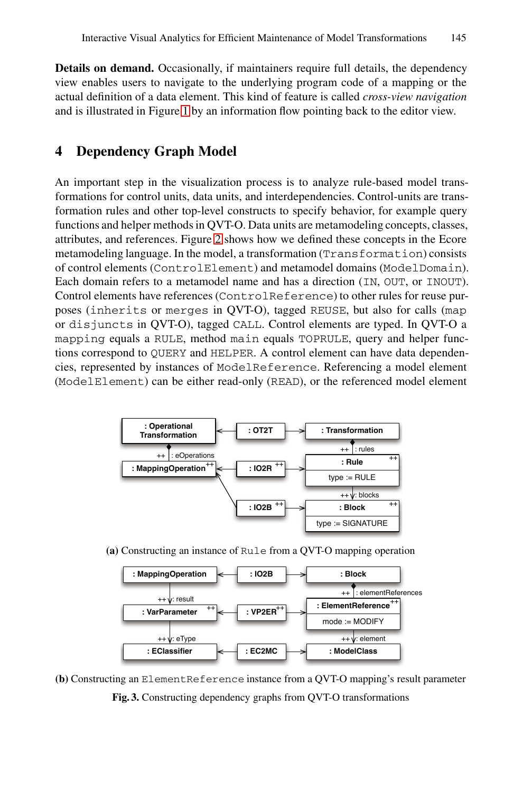<span id="page-4-0"></span>**Details on demand.** Occasionally, if maintainers require full details, the dependency view enables users to navigate to the underlying program code of a mapping or the actual definition of a data element. This kind of feature is called *cross-view navigation* and is illustrated in Figure 1 by an information flow pointing back to the editor view.

# **4 Dependency Graph Model**

<span id="page-4-1"></span>An important step in the visualization process is to analyze rule-based model transformations for control units, data units, and interdependencies. Control-units are transformation rules and other top-level constructs to specify behavior, for example query functions and helper methods in QVT-O. Data units are metamodeling concepts, classes, attributes, and references. Figure 2 shows how we defined these concepts in the Ecore metamodeling language. In the model, a transformation (Transformation) consists of control elements (ControlElement) and metamodel domains (ModelDomain). Each domain refers to a metamodel name and has a direction (IN, OUT, or INOUT). Control elements have references (ControlReference) to other rules for reuse purposes (inherits or merges in QVT-O), tagged REUSE, but also for calls (map or disjuncts in QVT-O), tagged CALL. Control elements are typed. In QVT-O a mapping equals a RULE, method main equals TOPRULE, query and helper functions correspond to QUERY and HELPER. A control element can have data dependencies, represented by instances of ModelReference. Referencing a model element (ModelElement) can be either read-only (READ), or the referenced model element



**(a)** Constructing an instance of Rule from a QVT-O mapping operation



**(b)** Constructing an ElementReference instance from a QVT-O mapping's result parameter

**Fig. 3.** Constructing dependency graphs from QVT-O transformations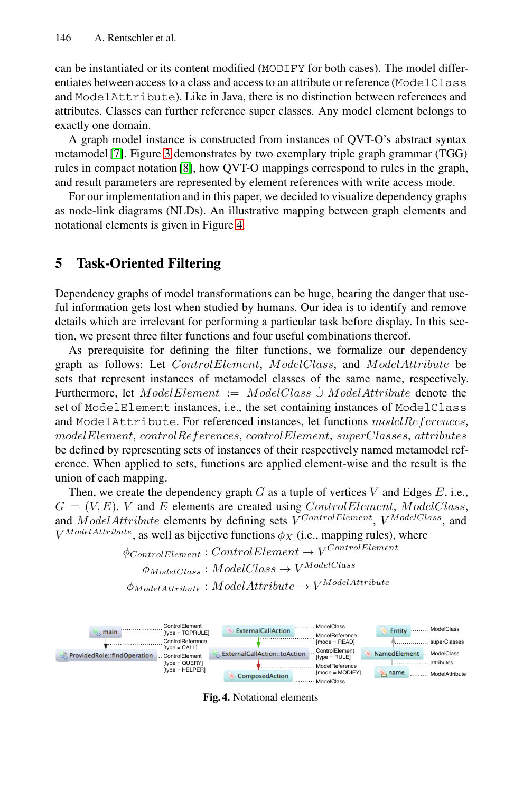<span id="page-5-0"></span>can be [in](#page-15-5)stantiated or its content modified (MODIFY for both cases). The model differentiates between access to a class and access to an attribute or reference (ModelClass and ModelAttribute). Like in Java, there is no distinction between references and attributes. Classes [ca](#page-5-1)n further reference super classes. Any model element belongs to exactly one domain.

A graph model instance is constructed from instances of QVT-O's abstract syntax metamodel [7]. Figure 3 demonstrates by two exemplary triple graph grammar (TGG) rules in compact notation [8], how QVT-O mappings correspond to rules in the graph, and result parameters are represented by element references with write access mode.

For our implementation and in this paper, we decided to visualize dependency graphs as node-link diagrams (NLDs). An illustrative mapping between graph elements and notational elements is given in Figure 4.

## **5 Task-Oriented Filtering**

Dependency graphs of model transformations can be huge, bearing the danger that useful information gets lost when studied by humans. Our idea is to identify and remove details which are irrelevant for performing a particular task before display. In this section, we present three filter functions and four useful combinations thereof.

<span id="page-5-1"></span>As prerequisite for defining the filter functions, we formalize our dependency graph as follows: Let ControlElement, ModelClass, and ModelAttribute be sets that represent instances of metamodel classes of the same name, respectively. Furthermore, let ModelElement := ModelClass ∪˙ ModelAttribute denote the set of ModelElement instances, i.e., the set containing instances of ModelClass and ModelAttribute. For referenced instances, let functions modelReferences, modelElement, controlReferences, controlElement, superClasses, attributes be defined by representing sets of instances of their respectively named metamodel reference. When applied to sets, functions are applied element-wise and the result is the union of each mapping.

Then, we create the dependency graph G as a tuple of vertices V and Edges  $E$ , i.e.,  $G = (V, E)$ . V and E elements are created using ControlElement, ModelClass, and *ModelAttribute* elements by defining sets  $\widetilde{V}^{ControlElement}$ ,  $\widetilde{V}^{ModelClass}$ , and  $V^{ModelAttribute}$ , as well as bijective functions  $\phi_X$  (i.e., mapping rules), where

 $\phi_{ControlElement} : ControlElement \rightarrow V^{ControlElement}$  $\phi_{ModelClass}: ModelClass \rightarrow V^{ModelClass}$ 

 $\phi_{ModelAttribute}: ModelAttribute \rightarrow V^{ModelAttribute}$ 



**Fig. 4.** Notational elements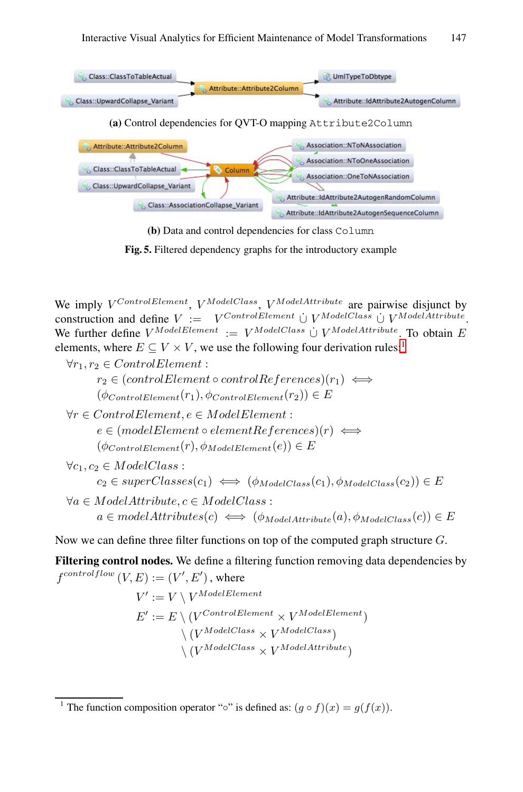

<span id="page-6-1"></span>Interactive Visual Analytics for Efficient Maintenance of Model Transformations 147

**(b)** Data and control dependencies fo[r c](#page-6-0)lass Column

**Fig. 5.** Filtered dependency graphs for the introductory example

We imply  $V^{ControlElement}$ ,  $V^{ModelClass}$ ,  $V^{ModelAttribute}$  are pairwise disjunct by construction and define  $V := V^{ControlElement} \cup V^{ModelClass} \cup V^{ModelAttribute}$ . We further define  $V^{ModelElement}$  :=  $V^{ModelClass}$  ∪  $V^{ModelAltribute}$ . To obtain E elements, where  $E \subseteq V \times V$ , we use the following four derivation rules:<sup>1</sup>

 $\forall r_1, r_2 \in ControlElement$ :  $r_2 \in (controlElement \circ controlReferences)(r_1) \iff$  $(\phi_{ControlElement}(r_1), \phi_{ControlElement}(r_2)) \in E$  $\forall r \in ControlElement, e \in ModelElement$ :  $e \in (modelElement \circ elementReferences)(r) \iff$  $(\phi_{ControlElement}(r), \phi_{ModelElement}(e)) \in E$  $\forall c_1, c_2 \in ModelClass$ :  $c_2 \in superClasses(c_1) \iff (\phi_{ModelClass}(c_1), \phi_{ModelClass}(c_2)) \in E$  $\forall a \in ModelAttribute, c \in ModelClass$ :  $a \in modelAttributes(c) \iff (\phi_{ModelAttribute}(a), \phi_{ModelClass}(c)) \in E$ 

<span id="page-6-0"></span>Now we can define three filter functions on top of the computed graph structure G.

Filtering control nodes. We define a filtering function removing data dependencies by  $f^{controlflow}(V, E) := (V', E')$ , where

> $V' := V \setminus V^{ModelElement}$  $E' := E \setminus (V^{ControlElement} \times V^{ModelElement})$  $\setminus (V^{ModelClass} \times V^{ModelClass})$  $\setminus (V^{ModelClass} \times V^{ModelAttribute})$

<sup>&</sup>lt;sup>1</sup> The function composition operator "∘" is defined as:  $(q \circ f)(x) = g(f(x))$ .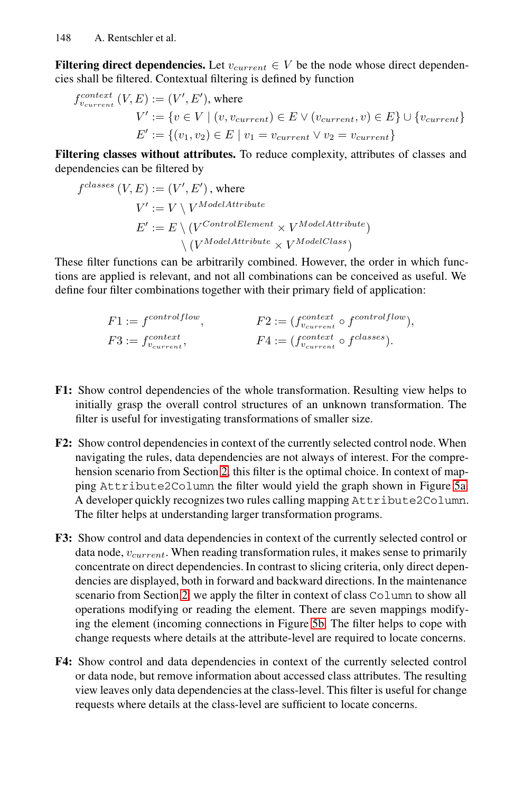**Filtering direct dependencies.** Let  $v_{current} \in V$  be the node whose direct dependencies shall be filtered. Contextual filtering is defined by function

$$
f_{v_{current}}^{context}(V, E) := (V', E'), \text{ where}
$$
  
\n
$$
V' := \{ v \in V \mid (v, v_{current}) \in E \lor (v_{current}, v) \in E \} \cup \{ v_{current} \}
$$
  
\n
$$
E' := \{ (v_1, v_2) \in E \mid v_1 = v_{current} \lor v_2 = v_{current} \}
$$

**Filtering classes without attributes.** To reduce complexity, attributes of classes and dependencies can be filtered by

$$
f^{classes} (V, E) := (V', E'), \text{ where}
$$
  
\n
$$
V' := V \setminus V^{ModelAttribute}
$$
  
\n
$$
E' := E \setminus (V^{ControlElement} \times V^{ModelAttribute})
$$
  
\n
$$
\setminus (V^{ModelAttribute} \times V^{ModelClass})
$$

These filter functions can be arbitrarily combined. However, the order in which functions are applied is relevant, and not all combinations can be conceived as useful. We define four filter combinations together with their primary field of application:

$$
F1 := f^{controlflow}, \qquad F2 := (f^{context}_{v_{current}} \circ f^{controlflow}),
$$
  

$$
F3 := f^{context}_{v_{current}}, \qquad F4 := (f^{context}_{v_{current}} \circ f^{classes}).
$$

- **F1:** Show control dependencies of the whole transformation. Resulting view helps to initially grasp the overall control structures of an unknown transformation. The filter is useful for investigating transformations of smaller size.
- **F2:** Show control dependencies in context of the currently selected control node. When navigating the rules, data dependencies are not always of interest. For the comprehension scenario from Section 2, this filter is the optimal choice. In context of mappi[ng](#page-1-0) Attribute2Column the filter would yield the graph shown in Figure 5a. A developer quickly recognizes two rules calling mapping Attribute2Column. The filter helps at understandi[ng l](#page-6-1)arger transformation programs.
- **F3:** Show control and data dependencies in context of the currently selected control or data node, v*current*. When reading transformation rules, it makes sense to primarily concentrate on direct dependencies. In contrast to slicing criteria, only direct dependencies are displayed, both in forward and backward directions. In the maintenance scenario from Section 2, we apply the filter in context of class Column to show all operations modifying or reading the element. There are seven mappings modifying the element (incoming connections in Figure 5b. The filter helps to cope with change requests where details at the attribute-level are required to locate concerns.
- **F4:** Show control and data dependencies in context of the currently selected control or data node, but remove information about accessed class attributes. The resulting view leaves only data dependencies at the class-level. This filter is useful for change requests where details at the class-level are sufficient to locate concerns.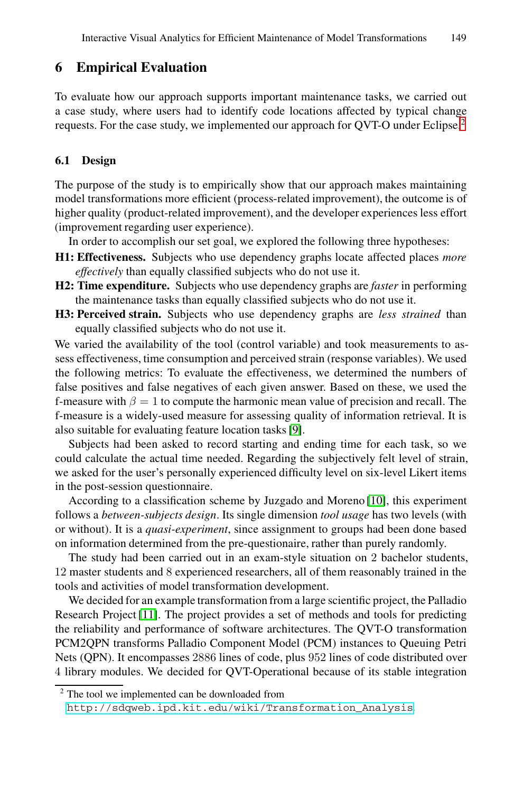## <span id="page-8-0"></span>**6 Empirical Evaluation**

To evaluate how our approach supports important maintenance tasks, we carried out a case study, where users had to identify code locations affected by typical change requests. For the case study, we implemented our approach for QVT-O under Eclipse.<sup>2</sup>

## **6.1 Design**

The purpose of the study is to empirically show that our approach makes maintaining model transformations more efficient (process-related improvement), the outcome is of higher quality (product-related improvement), and the developer experiences less effort (improvement regarding user experience).

In order to accomplish our set goal, we explored the following three hypotheses:

- **H1: Effectiveness.** Subjects who use dependency graphs locate affected places *more effectively* than equally classified subjects who do not use it.
- **H2: Time expenditure.** Subjects who use dependency graphs are *faster* in performing the maintenance tasks than equally classified subjects who do not use it.
- **H3: Perceived strain.** Subje[cts](#page-15-6) who use dependency graphs are *less strained* than equally classified subjects who do not use it.

We varied the availability of the tool (control variable) and took measurements to assess effectiveness, time consumption and perceived strain (response variables). We used the following metrics: To evaluate the effectiveness, we determined the numbers of false positives and false negatives of each giv[en a](#page-15-7)nswer. Based on these, we used the f-measure with  $\beta = 1$  to compute the harmonic mean value of precision and recall. The f-measure is a widely-used measure for assessing quality of information retrieval. It is also suitable for evaluating feature location tasks [9].

Subjects had been asked to record starting and ending time for each task, so we could calculate the actual time needed. Regarding the subjectively felt level of strain, we asked for the user's personally experienced difficulty level on six-level Likert items in the post-session questionnaire.

According to a classification scheme by Juzgado and Moreno [10], this experiment [fo](#page-15-8)llows a *between-subjects design*. Its single dimension *tool usage* has two levels (with or without). It is a *quasi-experiment*, since assignment to groups had been done based on information determined from the pre-questionaire, rather than purely randomly.

The study had been carried out in an exam-style situation on 2 bachelor students, 12 master students and 8 experienced researchers, all of them reasonably trained in the tools and activities of model transformation development.

[We decided for an example transformation](http://sdqweb.ipd.kit.edu/wiki/Transformation_Analysis) from a large scientific project, the Palladio Research Project [11]. The project provides a set of methods and tools for predicting the reliability and performance of software architectures. The QVT-O transformation PCM2QPN transforms Palladio Component Model (PCM) instances to Queuing Petri Nets (QPN). It encompasses 2886 lines of code, plus 952 lines of code distributed over 4 library modules. We decided for QVT-Operational because of its stable integration

<sup>&</sup>lt;sup>2</sup> The tool we implemented can be downloaded from

http://sdqweb.ipd.kit.edu/wiki/Transformation\_Analysis.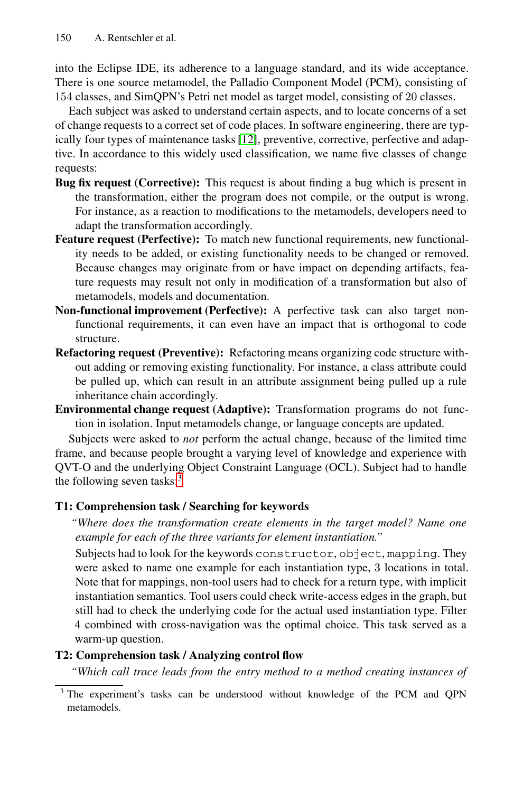into the Eclipse IDE, its adherence to a language standard, and its wide acceptance. There is one source metamodel, the Palladio Component Model (PCM), consisting of 154 classes, and SimQPN's Petri net model as target model, consisting of 20 classes.

Each subject was asked to understand certain aspects, and to locate concerns of a set of change requests to a correct set of code places. In software engineering, there are typically four types of maintenance tasks [12], preventive, corrective, perfective and adaptive. In accordance to this widely used classification, we name five classes of change requests:

- **Bug fix request (Corrective):** This request is about finding a bug which is present in the transformation, either the program does not compile, or the output is wrong. For instance, as a reaction to modifications to the metamodels, developers need to adapt the transformation accordingly.
- **Feature request (Perfective):** To match new functional requirements, new functionality needs to be added, or existing functionality needs to be changed or removed. Because changes may originate from or have impact on depending artifacts, feature requests may result not only in modification of a transformation but also of metamodels, models and documentation.
- **Non-functional improvement (Perfective):** A perfective task can also target nonfunctional requirements, it can even have an impact that is orthogonal to code structure.
- **Refactoring request (Preventive):** Refactoring means organizing code structure witho[ut](#page-9-0) adding or removing existing functionality. For instance, a class attribute could be pulled up, which can result in an attribute assignment being pulled up a rule inheritance chain accordingly.
- **Environmental change request (Adaptive):** Transformation programs do not function in isolation. Input metamodels change, or language concepts are updated.

Subjects were asked to *not* perform the actual change, because of the limited time frame, and because people brought a varying level of knowledge and experience with QVT-O and the underlying Object Constraint Language (OCL). Subject had to handle the following seven tasks:<sup>3</sup>

## <span id="page-9-0"></span>**T1: Comprehension task / Searching for keywords**

*"Where does the transformation create elements in the target model? Name one example for each of the three variants for element instantiation."*

Subjects had to look for the keywords constructor, object, mapping. They were asked to name one example for each instantiation type, 3 locations in total. Note that for mappings, non-tool users had to check for a return type, with implicit instantiation semantics. Tool users could check write-access edges in the graph, but still had to check the underlying code for the actual used instantiation type. Filter 4 combined with cross-navigation was the optimal choice. This task served as a warm-up question.

#### **T2: Comprehension task / Analyzing control flow**

*"Which call trace leads from the entry method to a method creating instances of*

<sup>&</sup>lt;sup>3</sup> The experiment's tasks can be understood without knowledge of the PCM and QPN metamodels.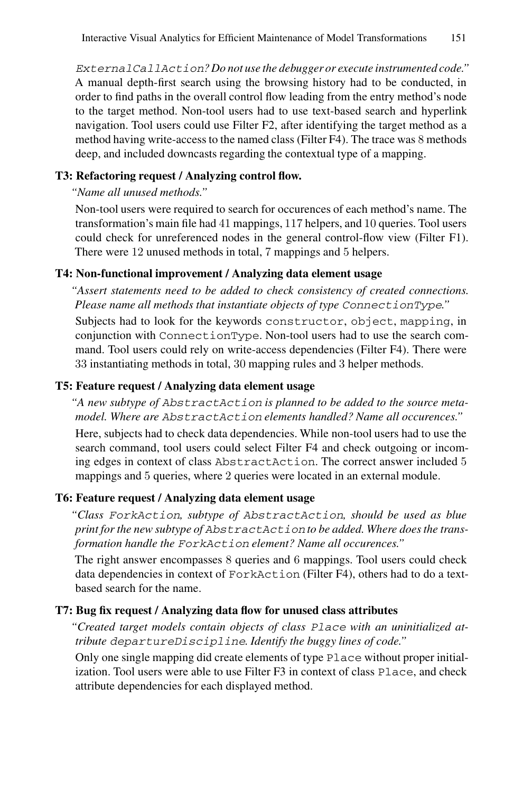ExternalCallAction*? Do not use the debugger or execute instrumented code."* A manual depth-first search using the browsing history had to be conducted, in order to find paths in the overall control flow leading from the entry method's node to the target method. Non-tool users had to use text-based search and hyperlink navigation. Tool users could use Filter F2, after identifying the target method as a method having write-access to the named class (Filter F4). The trace was 8 methods deep, and included downcasts regarding the contextual type of a mapping.

## **T3: Refactoring request / Analyzing control flow.**

*"Name all unused methods."*

Non-tool users were required to search for occurences of each method's name. The transformation's main file had 41 mappings, 117 helpers, and 10 queries. Tool users could check for unreferenced nodes in the general control-flow view (Filter F1). There were 12 unused methods in total, 7 mappings and 5 helpers.

## **T4: Non-functional improvement / Analyzing data element usage**

*"Assert statements need to be added to check consistency of created connections. Please name all methods that instantiate objects of type* ConnectionType*."*

Subjects had to look for the keywords constructor, object, mapping, in conjunction with ConnectionType. Non-tool users had to use the search command. Tool users could rely on write-access dependencies (Filter F4). There were 33 instantiating methods in total, 30 mapping rules and 3 helper methods.

## **T5: Feature request / Analyzing data element usage**

*"A new subtype of* AbstractAction *is planned to be added to the source metamodel. Where are* AbstractAction *elements handled? Name all occurences."*

Here, subjects had to check data dependencies. While non-tool users had to use the search command, tool users could select Filter F4 and check outgoing or incoming edges in context of class AbstractAction. The correct answer included 5 mappings and 5 queries, where 2 queries were located in an external module.

## **T6: Feature request / Analyzing data element usage**

*"Class* ForkAction*, subtype of* AbstractAction*, should be used as blue print for the new subtype of* AbstractAction *to be added. Where does the transformation handle the* ForkAction *element? Name all occurences."*

The right answer encompasses 8 queries and 6 mappings. Tool users could check data dependencies in context of ForkAction (Filter F4), others had to do a textbased search for the name.

### **T7: Bug fix request / Analyzing data flow for unused class attributes**

*"Created target models contain objects of class* Place *with an uninitialized attribute* departureDiscipline*. Identify the buggy lines of code."*

Only one single mapping did create elements of type Place without proper initialization. Tool users were able to use Filter F3 in context of class Place, and check attribute dependencies for each displayed method.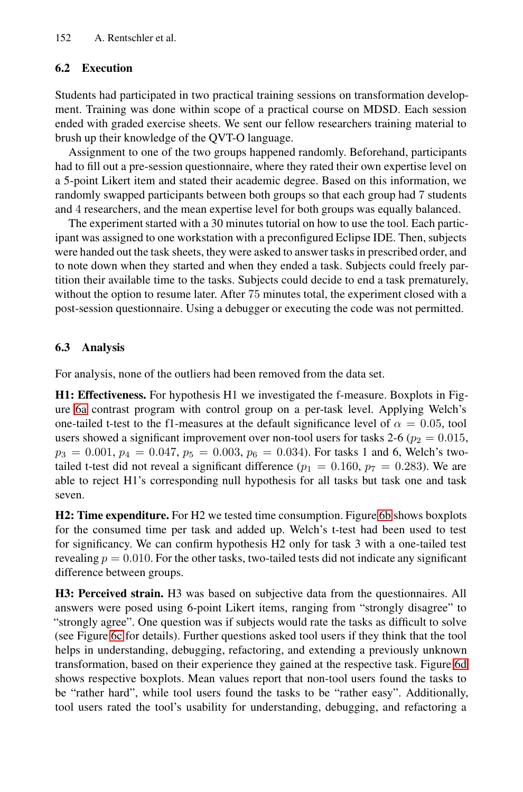#### **6.2 Execution**

Students had participated in two practical training sessions on transformation development. Training was done within scope of a practical course on MDSD. Each session ended with graded exercise sheets. We sent our fellow researchers training material to brush up their knowledge of the QVT-O language.

Assignment to one of the two groups happened randomly. Beforehand, participants had to fill out a pre-session questionnaire, where they rated their own expertise level on a 5-point Likert item and stated their academic degree. Based on this information, we randomly swapped participants between both groups so that each group had 7 students and 4 researchers, and the mean expertise level for both groups was equally balanced.

The experiment started with a 30 minutes tutorial on how to use the tool. Each participant was assigned to one workstation with a preconfigured Eclipse IDE. Then, subjects were handed out the task sheets, they were asked to answer tasks in prescribed order, and to note down when they started and when they ended a task. Subjects could freely partition their available time to the tasks. Subjects could decide to end a task prematurely, without the option to resume later. After 75 minutes total, the experiment closed with a post-session questionnaire. Using a debugger or executing the code was not permitted.

## **6.3 Analysis**

For analysis, none of the outliers had been removed from the data set.

**H1: Effectiveness.** For hypothesis H1 we investigated the f-measure. Boxplots in Figure 6a contrast program with control group o[n a](#page-12-0) per-task level. Applying Welch's one-tailed t-test to the f1-measures at the default significance level of  $\alpha = 0.05$ , tool users showed a significant improvement over non-tool users for tasks 2-6 ( $p_2 = 0.015$ ,  $p_3 = 0.001$ ,  $p_4 = 0.047$ ,  $p_5 = 0.003$ ,  $p_6 = 0.034$ ). For tasks 1 and 6, Welch's twotailed t-test did not reveal a significant difference ( $p_1 = 0.160$ ,  $p_7 = 0.283$ ). We are able to reject H1's corresponding null hypothesis for all tasks but task one and task seven.

**H2: Time expenditure.** For H2 we tested time consumption. Figure 6b shows boxplots for the consumed time per task and added up. Welch's t-test had been used to test for significancy. We can confirm hypothesis H2 only for task 3 with a one-tailed test revealing  $p = 0.010$ . For the other tasks, two-tailed tests did not [indi](#page-12-0)cate any significant difference between groups.

**H3: Perceived strain.** H3 was based on subjective data from the questionnaires. All answers were posed using 6-point Likert items, ranging from "strongly disagree" to "strongly agree". One question was if subjects would rate the tasks as difficult to solve (see Figure 6c for details). Further questions asked tool users if they think that the tool helps in understanding, debugging, refactoring, and extending a previously unknown transformation, based on their experience they gained at the respective task. Figure 6d shows respective boxplots. Mean values report that non-tool users found the tasks to be "rather hard", while tool users found the tasks to be "rather easy". Additionally, tool users rated the tool's usability for understanding, debugging, and refactoring a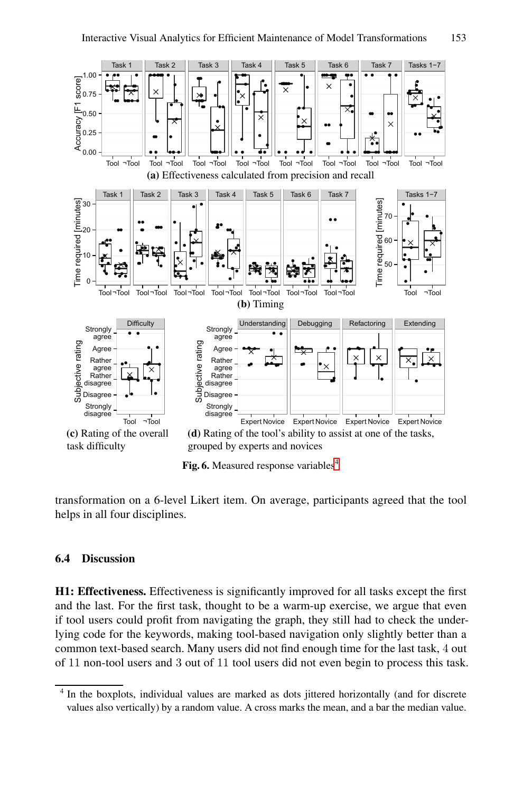<span id="page-12-0"></span>

transformation on a 6-level Likert item. On average, participants agreed that the tool helps in all four disciplines.

## **6.4 Discussion**

**H1: Effectiveness.** Effectiveness is significantly improved for all tasks except the first and the last. For the first task, thought to be a warm-up exercise, we argue that even if tool users could profit from navigating the graph, they still had to check the underlying code for the keywords, making tool-based navigation only slightly better than a common text-based search. Many users did not find enough time for the last task, 4 out of 11 non-tool users and 3 out of 11 tool users did not even begin to process this task.

<sup>&</sup>lt;sup>4</sup> In the boxplots, individual values are marked as dots jittered horizontally (and for discrete values also vertically) by a random value. A cross marks the mean, and a bar the median value.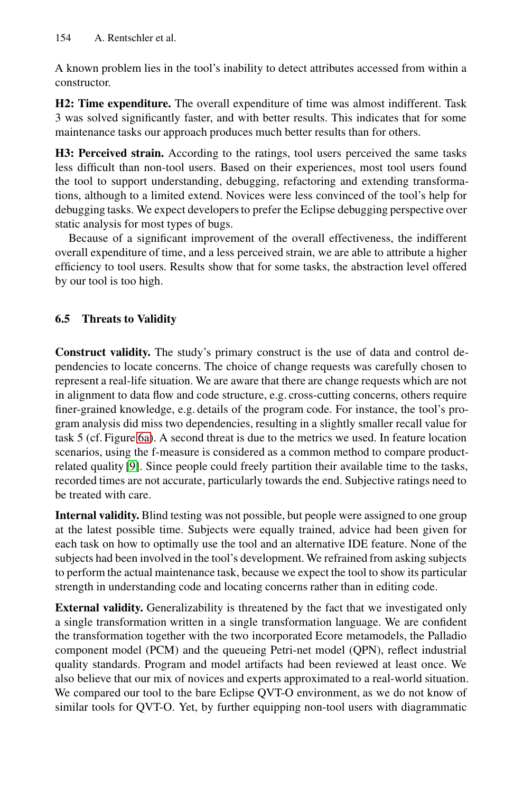A known problem lies in the tool's inability to detect attributes accessed from within a constructor.

**H2: Time expenditure.** The overall expenditure of time was almost indifferent. Task 3 was solved significantly faster, and with better results. This indicates that for some maintenance tasks our approach produces much better results than for others.

**H3: Perceived strain.** According to the ratings, tool users perceived the same tasks less difficult than non-tool users. Based on their experiences, most tool users found the tool to support understanding, debugging, refactoring and extending transformations, although to a limited extend. Novices were less convinced of the tool's help for debugging tasks. We expect developers to prefer the Eclipse debugging perspective over static analysis for most types of bugs.

Because of a significant improvement of the overall effectiveness, the indifferent overall expenditure of time, and a less perceived strain, we are able to attribute a higher efficiency to tool users. Results show that for some tasks, the abstraction level offered by our tool is too high.

## **[6](#page-12-0).5 Threats to Validity**

**Construct validity.** The study's primary construct is the use of data and control dependencies to locate concerns. The choice of change requests was carefully chosen to represent a real-life situation. We are aware that there are change requests which are not in alignment to data flow and code structure, e.g. cross-cutting concerns, others require finer-grained knowledge, e.g. details of the program code. For instance, the tool's program analysis did miss two dependencies, resulting in a slightly smaller recall value for task 5 (cf. Figure 6a). A second threat is due to the metrics we used. In feature location scenarios, using the f-measure is considered as a common method to compare productrelated quality [9]. Since people could freely partition their available time to the tasks, recorded times are not accurate, particularly towards the end. Subjective ratings need to be treated with care.

**Internal validity.** Blind testing was not possible, but people were assigned to one group at the latest possible time. Subjects were equally trained, advice had been given for each task on how to optimally use the tool and an alternative IDE feature. None of the subjects had been involved in the tool's development. We refrained from asking subjects to perform the actual maintenance task, because we expect the tool to show its particular strength in understanding code and locating concerns rather than in editing code.

**External validity.** Generalizability is threatened by the fact that we investigated only a single transformation written in a single transformation language. We are confident the transformation together with the two incorporated Ecore metamodels, the Palladio component model (PCM) and the queueing Petri-net model (QPN), reflect industrial quality standards. Program and model artifacts had been reviewed at least once. We also believe that our mix of novices and experts approximated to a real-world situation. We compared our tool to the bare Eclipse QVT-O environment, as we do not know of similar tools for QVT-O. Yet, by further equipping non-tool users with diagrammatic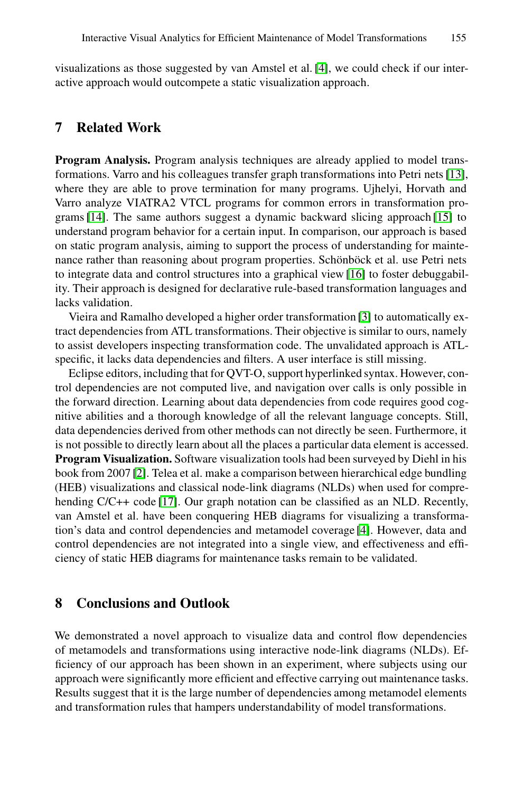<span id="page-14-0"></span>visualizations as those suggested by van Amstel et al. [4], we [coul](#page-16-1)d check if our interactive approach would outcompete a static visualization approach.

## **7 Related Work**

**Program Analysis.** Program analysis te[chni](#page-16-2)ques are already applied to model transformations. Varro and his colleagues transfer graph transformations into Petri nets [13], where they are able to prove termination for many programs. Ujhelyi, Horvath and Varro analyze VIATRA2 VTCL programs [for](#page-15-10) common errors in transformation programs [14]. The same authors suggest a dynamic backward slicing approach [15] to understand program behavior for a certain input. In comparison, our approach is based on static program analysis, aiming to support the process of understanding for maintenance rather than reasoning about program properties. Schönböck et al. use Petri nets to integrate data and control structures into a graphical view [16] to foster debuggability. Their approach is designed for declarative rule-based transformation languages and lacks validation.

Vieira and Ramalho developed a higher order transformation [3] to automatically extract dependencies from ATL transformations. Their objective is similar to ours, namely to assist developers inspecting transformation code. The unvalidated approach is ATLspecific, it lacks data dependencies and filters. A user interface is still missing.

Eclipse editors, including that for QVT-O, support hyperlinked syntax. However, contr[ol de](#page-16-3)pendencies are not computed live, and navigation over calls is only possible in the forward direction. Learning about data dependencies from code requires good cognitive abilities and a thorough knowledge o[f a](#page-15-11)ll the relevant language concepts. Still, data dependencies derived from other methods can not directly be seen. Furthermore, it is not possible to directly learn about all the places a particular data element is accessed. **Program Visualization.** Software visualization tools had been surveyed by Diehl in his book from 2007 [2]. Telea et al. make a comparison between hierarchical edge bundling (HEB) visualizations and classical node-link diagrams (NLDs) when used for comprehending C/C++ code [17]. Our graph notation can be classified as an NLD. Recently, van Amstel et al. have been conquering HEB diagrams for visualizing a transformation's data and control dependencies and metamodel coverage [4]. However, data and control dependencies are not integrated into a single view, and effectiveness and efficiency of static HEB diagrams for maintenance tasks remain to be validated.

# **8 Conclusions and Outlook**

We demonstrated a novel approach to visualize data and control flow dependencies of metamodels and transformations using interactive node-link diagrams (NLDs). Efficiency of our approach has been shown in an experiment, where subjects using our approach were significantly more efficient and effective carrying out maintenance tasks. Results suggest that it is the large number of dependencies among metamodel elements and transformation rules that hampers understandability of model transformations.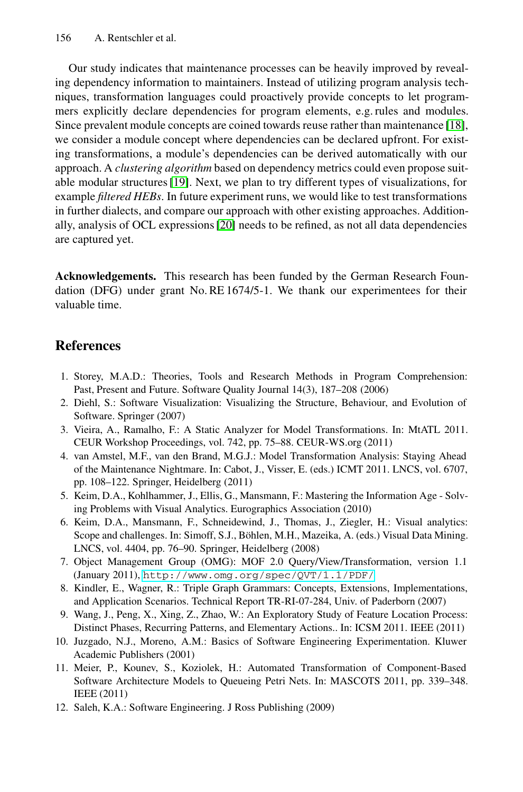<span id="page-15-0"></span>O[ur s](#page-16-4)tudy indicates that maintenance processes can be heavily improved by revealing dependency information to maintainers. Instead of utilizing program analysis techniques, transformation languages could proactively provide concepts to let programmers explicitl[y de](#page-16-5)clare dependencies for program elements, e.g. rules and modules. Since prevalent module concepts are coined towards reuse rather than maintenance [18], we consider a module concept where dependencies can be declared upfront. For existing transformations, a module's dependencies can be derived automatically with our approach. A *clustering algorithm* based on dependency metrics could even propose suitable modular structures [19]. Next, we plan to try different types of visualizations, for example *filtered HEBs*. In future experiment runs, we would like to test transformations in further dialects, and compare our approach with other existing approaches. Additionally, analysis of OCL expressions [20] needs to be refined, as not all data dependencies are captured yet.

<span id="page-15-11"></span><span id="page-15-10"></span><span id="page-15-3"></span><span id="page-15-2"></span><span id="page-15-1"></span>**Acknowledgements.** This research has been funded by the German Research Foundation (DFG) under grant No. RE 1674/5-1. We thank our experimentees for their valuable time.

## <span id="page-15-4"></span>**References**

- <span id="page-15-5"></span>1. Storey, M.A.D.: Theories, Tools and Research Methods in Program Comprehension: Past, Present and Future. Software Quality Journal 14(3), 187–208 (2006)
- <span id="page-15-6"></span>2. Diehl, S.: Software Visualization: Visualizing the Structure, Behaviour, and Evolution of Software. Springer (2007)
- <span id="page-15-7"></span>3. Vieira, A., Ramalho, F.: A Static Analyzer for Model Transformations. In: MtATL 2011. CEUR Workshop Proceedings, vol. 742, pp. 75–88. CEUR-WS.org (2011)
- <span id="page-15-8"></span>4. van Amstel, M.F., van den Brand, M.G.J.: Model Transformation Analysis: Staying Ahead [of the Maintenance Nightmare. In: Cabot, J., Viss](http://www.omg.org/spec/QVT/1.1/PDF/)er, E. (eds.) ICMT 2011. LNCS, vol. 6707, pp. 108–122. Springer, Heidelberg (2011)
- <span id="page-15-9"></span>5. Keim, D.A., Kohlhammer, J., Ellis, G., Mansmann, F.: Mastering the Information Age - Solving Problems with Visual Analytics. Eurographics Association (2010)
- 6. Keim, D.A., Mansmann, F., Schneidewind, J., Thomas, J., Ziegler, H.: Visual analytics: Scope and challenges. In: Simoff, S.J., Böhlen, M.H., Mazeika, A. (eds.) Visual Data Mining. LNCS, vol. 4404, pp. 76–90. Springer, Heidelberg (2008)
- 7. Object Management Group (OMG): MOF 2.0 Query/View/Transformation, version 1.1 (January 2011), http://www.omg.org/spec/QVT/1.1/PDF/
- 8. Kindler, E., Wagner, R.: Triple Graph Grammars: Concepts, Extensions, Implementations, and Application Scenarios. Technical Report TR-RI-07-284, Univ. of Paderborn (2007)
- 9. Wang, J., Peng, X., Xing, Z., Zhao, W.: An Exploratory Study of Feature Location Process: Distinct Phases, Recurring Patterns, and Elementary Actions.. In: ICSM 2011. IEEE (2011)
- 10. Juzgado, N.J., Moreno, A.M.: Basics of Software Engineering Experimentation. Kluwer Academic Publishers (2001)
- 11. Meier, P., Kounev, S., Koziolek, H.: Automated Transformation of Component-Based Software Architecture Models to Queueing Petri Nets. In: MASCOTS 2011, pp. 339–348. IEEE (2011)
- 12. Saleh, K.A.: Software Engineering. J Ross Publishing (2009)